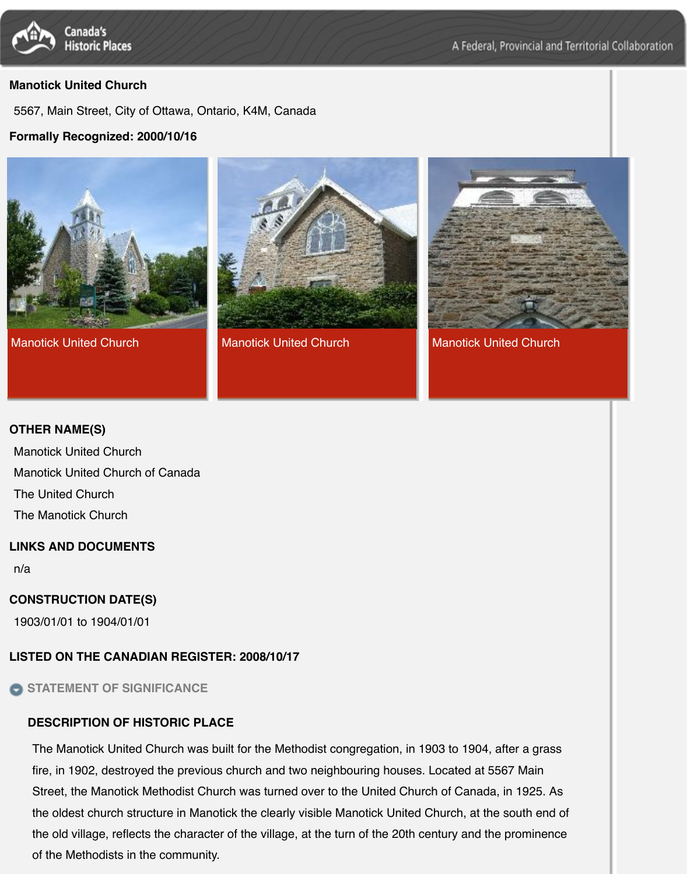





[Manotick United Church](http://www.historicplaces.ca/en/rep-reg/image-image.aspx?id=10308#i3) **Manotick United Church Manotick United Church** Manotick United Church

#### **OTHER NAME(S)**

Manotick United Church

[Manotick United Church of Canada](http://www.historicplaces.ca/en/rep-reg/image-image.aspx?id=10308#i1)

The United Church

The Manotick Church

### **LINKS AND DOCUMENTS**

n/a

## **CONSTRUCTION DATE(S)**

1903/01/01 to 1904/01/01

### **LISTED ON THE CANADIAN REGISTER: 2008/10/17**

**STATEMENT OF SIGNIFICANCE**

### **DESCRIPTION OF HISTORIC PLACE**

The Manotick United Church was built for the Methodist congregation, in 1903 to 1904, after a grass fire, in 1902, destroyed the previous church and two neighbouring houses. Located at 5567 Main Street, the Manotick Methodist Church was turned over to the United Church of Canada, in 1925. As the oldest church structure in Manotick the clearly visible Manotick United Church, at the south end of the old village, reflects the character of the village, at the turn of the 20th century and the prominence of the Methodists in the community.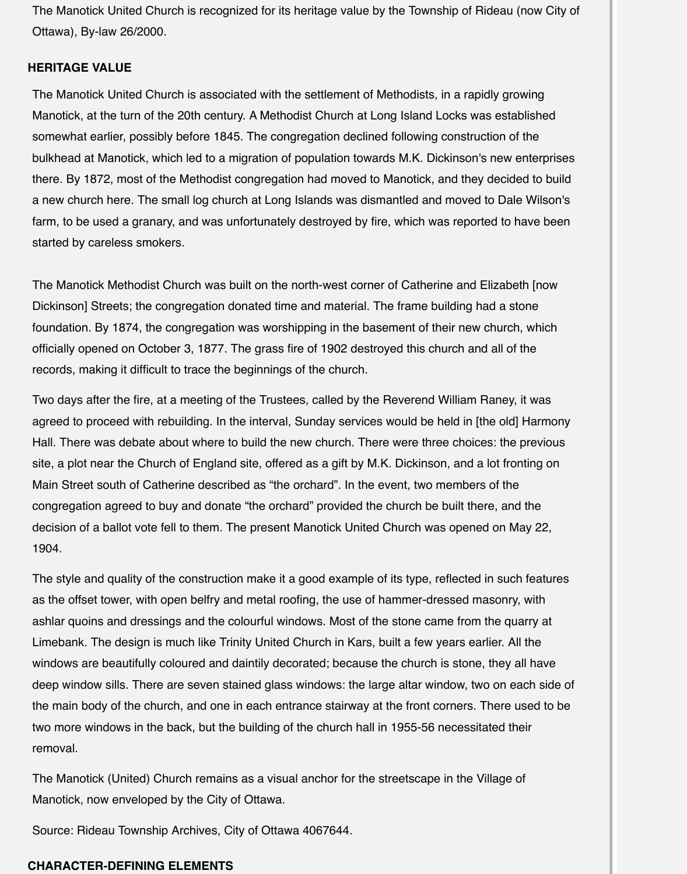The Manotick United Church is recognized for its heritage value by the Township of Rideau (now City of Ottawa), By-law 26/2000.

#### **HERITAGE VALUE**

The Manotick United Church is associated with the settlement of Methodists, in a rapidly growing Manotick, at the turn of the 20th century. A Methodist Church at Long Island Locks was established somewhat earlier, possibly before 1845. The congregation declined following construction of the bulkhead at Manotick, which led to a migration of population towards M.K. Dickinson's new enterprises there. By 1872, most of the Methodist congregation had moved to Manotick, and they decided to build a new church here. The small log church at Long Islands was dismantled and moved to Dale Wilson's farm, to be used a granary, and was unfortunately destroyed by fire, which was reported to have been started by careless smokers.

The Manotick Methodist Church was built on the north-west corner of Catherine and Elizabeth [now Dickinson] Streets; the congregation donated time and material. The frame building had a stone foundation. By 1874, the congregation was worshipping in the basement of their new church, which officially opened on October 3, 1877. The grass fire of 1902 destroyed this church and all of the records, making it difficult to trace the beginnings of the church.

Two days after the fire, at a meeting of the Trustees, called by the Reverend William Raney, it was agreed to proceed with rebuilding. In the interval, Sunday services would be held in [the old] Harmony Hall. There was debate about where to build the new church. There were three choices: the previous site, a plot near the Church of England site, offered as a gift by M.K. Dickinson, and a lot fronting on Main Street south of Catherine described as "the orchard". In the event, two members of the congregation agreed to buy and donate "the orchard" provided the church be built there, and the decision of a ballot vote fell to them. The present Manotick United Church was opened on May 22, 1904.

The style and quality of the construction make it a good example of its type, reflected in such features as the offset tower, with open belfry and metal roofing, the use of hammer-dressed masonry, with ashlar quoins and dressings and the colourful windows. Most of the stone came from the quarry at Limebank. The design is much like Trinity United Church in Kars, built a few years earlier. All the windows are beautifully coloured and daintily decorated; because the church is stone, they all have deep window sills. There are seven stained glass windows: the large altar window, two on each side of the main body of the church, and one in each entrance stairway at the front corners. There used to be two more windows in the back, but the building of the church hall in 1955-56 necessitated their removal.

The Manotick (United) Church remains as a visual anchor for the streetscape in the Village of Manotick, now enveloped by the City of Ottawa.

Source: Rideau Township Archives, City of Ottawa 4067644.

#### **CHARACTER-DEFINING ELEMENTS**